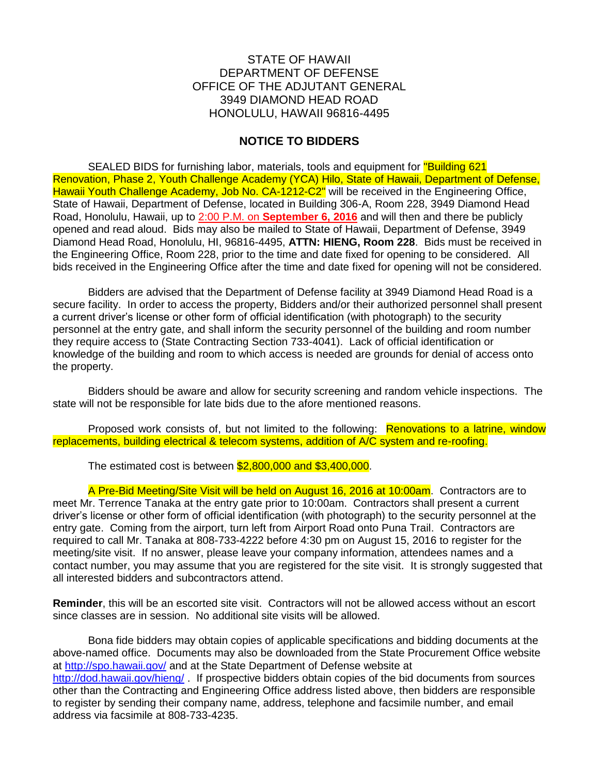## STATE OF HAWAII DEPARTMENT OF DEFENSE OFFICE OF THE ADJUTANT GENERAL 3949 DIAMOND HEAD ROAD HONOLULU, HAWAII 96816-4495

## **NOTICE TO BIDDERS**

SEALED BIDS for furnishing labor, materials, tools and equipment for "Building 621 Renovation, Phase 2, Youth Challenge Academy (YCA) Hilo, State of Hawaii, Department of Defense, Hawaii Youth Challenge Academy, Job No. CA-1212-C2" will be received in the Engineering Office, State of Hawaii, Department of Defense, located in Building 306-A, Room 228, 3949 Diamond Head Road, Honolulu, Hawaii, up to 2:00 P.M. on **September 6, 2016** and will then and there be publicly opened and read aloud. Bids may also be mailed to State of Hawaii, Department of Defense, 3949 Diamond Head Road, Honolulu, HI, 96816-4495, **ATTN: HIENG, Room 228**. Bids must be received in the Engineering Office, Room 228, prior to the time and date fixed for opening to be considered. All bids received in the Engineering Office after the time and date fixed for opening will not be considered.

Bidders are advised that the Department of Defense facility at 3949 Diamond Head Road is a secure facility. In order to access the property, Bidders and/or their authorized personnel shall present a current driver's license or other form of official identification (with photograph) to the security personnel at the entry gate, and shall inform the security personnel of the building and room number they require access to (State Contracting Section 733-4041). Lack of official identification or knowledge of the building and room to which access is needed are grounds for denial of access onto the property.

Bidders should be aware and allow for security screening and random vehicle inspections. The state will not be responsible for late bids due to the afore mentioned reasons.

Proposed work consists of, but not limited to the following: Renovations to a latrine, window replacements, building electrical & telecom systems, addition of A/C system and re-roofing.

The estimated cost is between \$2,800,000 and \$3,400,000.

A Pre-Bid Meeting/Site Visit will be held on August 16, 2016 at 10:00am. Contractors are to meet Mr. Terrence Tanaka at the entry gate prior to 10:00am. Contractors shall present a current driver's license or other form of official identification (with photograph) to the security personnel at the entry gate. Coming from the airport, turn left from Airport Road onto Puna Trail. Contractors are required to call Mr. Tanaka at 808-733-4222 before 4:30 pm on August 15, 2016 to register for the meeting/site visit. If no answer, please leave your company information, attendees names and a contact number, you may assume that you are registered for the site visit. It is strongly suggested that all interested bidders and subcontractors attend.

**Reminder**, this will be an escorted site visit. Contractors will not be allowed access without an escort since classes are in session. No additional site visits will be allowed.

Bona fide bidders may obtain copies of applicable specifications and bidding documents at the above-named office. Documents may also be downloaded from the State Procurement Office website at<http://spo.hawaii.gov/> and at the State Department of Defense website at <http://dod.hawaii.gov/hieng/>. If prospective bidders obtain copies of the bid documents from sources other than the Contracting and Engineering Office address listed above, then bidders are responsible to register by sending their company name, address, telephone and facsimile number, and email address via facsimile at 808-733-4235.